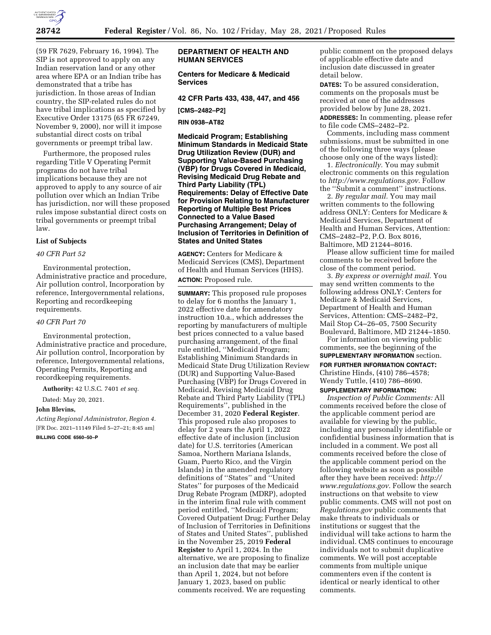

(59 FR 7629, February 16, 1994). The SIP is not approved to apply on any Indian reservation land or any other area where EPA or an Indian tribe has demonstrated that a tribe has jurisdiction. In those areas of Indian country, the SIP-related rules do not have tribal implications as specified by Executive Order 13175 (65 FR 67249, November 9, 2000), nor will it impose substantial direct costs on tribal governments or preempt tribal law.

Furthermore, the proposed rules regarding Title V Operating Permit programs do not have tribal implications because they are not approved to apply to any source of air pollution over which an Indian Tribe has jurisdiction, nor will these proposed rules impose substantial direct costs on tribal governments or preempt tribal law.

## **List of Subjects**

## *40 CFR Part 52*

Environmental protection, Administrative practice and procedure, Air pollution control, Incorporation by reference, Intergovernmental relations, Reporting and recordkeeping requirements.

### *40 CFR Part 70*

Environmental protection, Administrative practice and procedure, Air pollution control, Incorporation by reference, Intergovernmental relations, Operating Permits, Reporting and recordkeeping requirements.

**Authority:** 42 U.S.C. 7401 *et seq.* 

Dated: May 20, 2021.

#### **John Blevins,**

*Acting Regional Administrator, Region 4.*  [FR Doc. 2021–11149 Filed 5–27–21; 8:45 am]

**BILLING CODE 6560–50–P** 

## **DEPARTMENT OF HEALTH AND HUMAN SERVICES**

## **Centers for Medicare & Medicaid Services**

**42 CFR Parts 433, 438, 447, and 456** 

#### **[CMS–2482–P2]**

**RIN 0938–AT82** 

**Medicaid Program; Establishing Minimum Standards in Medicaid State Drug Utilization Review (DUR) and Supporting Value-Based Purchasing (VBP) for Drugs Covered in Medicaid, Revising Medicaid Drug Rebate and Third Party Liability (TPL) Requirements: Delay of Effective Date for Provision Relating to Manufacturer Reporting of Multiple Best Prices Connected to a Value Based Purchasing Arrangement; Delay of Inclusion of Territories in Definition of States and United States** 

**AGENCY:** Centers for Medicare & Medicaid Services (CMS), Department of Health and Human Services (HHS). **ACTION:** Proposed rule.

**SUMMARY:** This proposed rule proposes to delay for 6 months the January 1, 2022 effective date for amendatory instruction 10.a., which addresses the reporting by manufacturers of multiple best prices connected to a value based purchasing arrangement, of the final rule entitled, ''Medicaid Program; Establishing Minimum Standards in Medicaid State Drug Utilization Review (DUR) and Supporting Value-Based Purchasing (VBP) for Drugs Covered in Medicaid, Revising Medicaid Drug Rebate and Third Party Liability (TPL) Requirements'', published in the December 31, 2020 **Federal Register**. This proposed rule also proposes to delay for 2 years the April 1, 2022 effective date of inclusion (inclusion date) for U.S. territories (American Samoa, Northern Mariana Islands, Guam, Puerto Rico, and the Virgin Islands) in the amended regulatory definitions of ''States'' and ''United States'' for purposes of the Medicaid Drug Rebate Program (MDRP), adopted in the interim final rule with comment period entitled, ''Medicaid Program; Covered Outpatient Drug; Further Delay of Inclusion of Territories in Definitions of States and United States'', published in the November 25, 2019 **Federal Register** to April 1, 2024. In the alternative, we are proposing to finalize an inclusion date that may be earlier than April 1, 2024, but not before January 1, 2023, based on public comments received. We are requesting

public comment on the proposed delays of applicable effective date and inclusion date discussed in greater detail below.

**DATES:** To be assured consideration, comments on the proposals must be received at one of the addresses provided below by June 28, 2021. **ADDRESSES:** In commenting, please refer to file code CMS–2482–P2.

Comments, including mass comment submissions, must be submitted in one of the following three ways (please choose only one of the ways listed):

1. *Electronically.* You may submit electronic comments on this regulation to *<http://www.regulations.gov>*. Follow the ''Submit a comment'' instructions.

2. *By regular mail.* You may mail written comments to the following address ONLY: Centers for Medicare & Medicaid Services, Department of Health and Human Services, Attention: CMS–2482–P2, P.O. Box 8016, Baltimore, MD 21244–8016.

Please allow sufficient time for mailed comments to be received before the close of the comment period.

3. *By express or overnight mail.* You may send written comments to the following address ONLY: Centers for Medicare & Medicaid Services, Department of Health and Human Services, Attention: CMS–2482–P2, Mail Stop C4–26–05, 7500 Security Boulevard, Baltimore, MD 21244–1850.

For information on viewing public comments, see the beginning of the **SUPPLEMENTARY INFORMATION** section.

**FOR FURTHER INFORMATION CONTACT:**  Christine Hinds, (410) 786–4578;

Wendy Tuttle, (410) 786–8690.

# **SUPPLEMENTARY INFORMATION:**

*Inspection of Public Comments:* All comments received before the close of the applicable comment period are available for viewing by the public, including any personally identifiable or confidential business information that is included in a comment. We post all comments received before the close of the applicable comment period on the following website as soon as possible after they have been received: *[http://](http://www.regulations.gov) [www.regulations.gov](http://www.regulations.gov)*. Follow the search instructions on that website to view public comments. CMS will not post on *Regulations.gov* public comments that make threats to individuals or institutions or suggest that the individual will take actions to harm the individual. CMS continues to encourage individuals not to submit duplicative comments. We will post acceptable comments from multiple unique commenters even if the content is identical or nearly identical to other comments.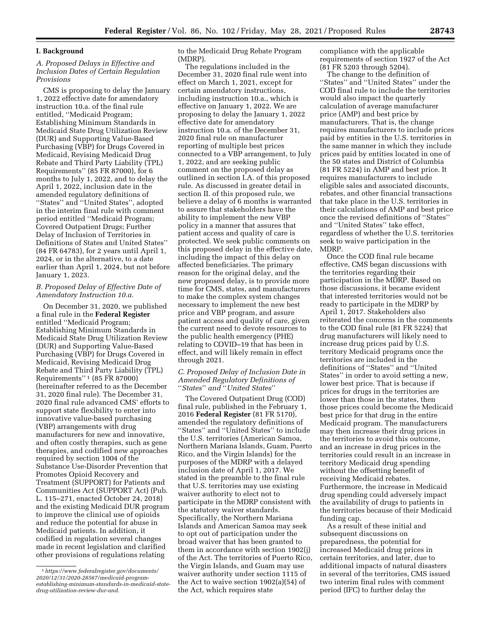### **I. Background**

## *A. Proposed Delays in Effective and Inclusion Dates of Certain Regulation Provisions*

CMS is proposing to delay the January 1, 2022 effective date for amendatory instruction 10.a. of the final rule entitled, ''Medicaid Program; Establishing Minimum Standards in Medicaid State Drug Utilization Review (DUR) and Supporting Value-Based Purchasing (VBP) for Drugs Covered in Medicaid, Revising Medicaid Drug Rebate and Third Party Liability (TPL) Requirements'' (85 FR 87000), for 6 months to July 1, 2022, and to delay the April 1, 2022, inclusion date in the amended regulatory definitions of ''States'' and ''United States'', adopted in the interim final rule with comment period entitled ''Medicaid Program; Covered Outpatient Drugs; Further Delay of Inclusion of Territories in Definitions of States and United States'' (84 FR 64783), for 2 years until April 1, 2024, or in the alternative, to a date earlier than April 1, 2024, but not before January 1, 2023.

## *B. Proposed Delay of Effective Date of Amendatory Instruction 10.a.*

On December 31, 2020, we published a final rule in the **Federal Register**  entitled ''Medicaid Program; Establishing Minimum Standards in Medicaid State Drug Utilization Review (DUR) and Supporting Value-Based Purchasing (VBP) for Drugs Covered in Medicaid, Revising Medicaid Drug Rebate and Third Party Liability (TPL) Requirements'' 1 (85 FR 87000) (hereinafter referred to as the December 31, 2020 final rule). The December 31, 2020 final rule advanced CMS' efforts to support state flexibility to enter into innovative value-based purchasing (VBP) arrangements with drug manufacturers for new and innovative, and often costly therapies, such as gene therapies, and codified new approaches required by section 1004 of the Substance Use-Disorder Prevention that Promotes Opioid Recovery and Treatment (SUPPORT) for Patients and Communities Act (SUPPORT Act) (Pub. L. 115–271, enacted October 24, 2018) and the existing Medicaid DUR program to improve the clinical use of opioids and reduce the potential for abuse in Medicaid patients. In addition, it codified in regulation several changes made in recent legislation and clarified other provisions of regulations relating

to the Medicaid Drug Rebate Program (MDRP).

The regulations included in the December 31, 2020 final rule went into effect on March 1, 2021, except for certain amendatory instructions, including instruction 10.a., which is effective on January 1, 2022. We are proposing to delay the January 1, 2022 effective date for amendatory instruction 10.a. of the December 31, 2020 final rule on manufacturer reporting of multiple best prices connected to a VBP arrangement, to July 1, 2022, and are seeking public comment on the proposed delay as outlined in section I.A. of this proposed rule. As discussed in greater detail in section II. of this proposed rule, we believe a delay of 6 months is warranted to assure that stakeholders have the ability to implement the new VBP policy in a manner that assures that patient access and quality of care is protected. We seek public comments on this proposed delay in the effective date, including the impact of this delay on affected beneficiaries. The primary reason for the original delay, and the new proposed delay, is to provide more time for CMS, states, and manufacturers to make the complex system changes necessary to implement the new best price and VBP program, and assure patient access and quality of care, given the current need to devote resources to the public health emergency (PHE) relating to COVID–19 that has been in effect, and will likely remain in effect through 2021.

#### *C. Proposed Delay of Inclusion Date in Amended Regulatory Definitions of*  ''*States*'' *and* ''*United States*''

The Covered Outpatient Drug (COD) final rule, published in the February 1, 2016 **Federal Register** (81 FR 5170), amended the regulatory definitions of ''States'' and ''United States'' to include the U.S. territories (American Samoa, Northern Mariana Islands, Guam, Puerto Rico, and the Virgin Islands) for the purposes of the MDRP with a delayed inclusion date of April 1, 2017. We stated in the preamble to the final rule that U.S. territories may use existing waiver authority to elect not to participate in the MDRP consistent with the statutory waiver standards. Specifically, the Northern Mariana Islands and American Samoa may seek to opt out of participation under the broad waiver that has been granted to them in accordance with section 1902(j) of the Act. The territories of Puerto Rico, the Virgin Islands, and Guam may use waiver authority under section 1115 of the Act to waive section 1902(a)(54) of the Act, which requires state

compliance with the applicable requirements of section 1927 of the Act (81 FR 5203 through 5204).

The change to the definition of ''States'' and ''United States'' under the COD final rule to include the territories would also impact the quarterly calculation of average manufacturer price (AMP) and best price by manufacturers. That is, the change requires manufacturers to include prices paid by entities in the U.S. territories in the same manner in which they include prices paid by entities located in one of the 50 states and District of Columbia (81 FR 5224) in AMP and best price. It requires manufacturers to include eligible sales and associated discounts, rebates, and other financial transactions that take place in the U.S. territories in their calculations of AMP and best price once the revised definitions of ''States'' and ''United States'' take effect, regardless of whether the U.S. territories seek to waive participation in the MDRP.

Once the COD final rule became effective, CMS began discussions with the territories regarding their participation in the MDRP. Based on those discussions, it became evident that interested territories would not be ready to participate in the MDRP by April 1, 2017. Stakeholders also reiterated the concerns in the comments to the COD final rule (81 FR 5224) that drug manufacturers will likely need to increase drug prices paid by U.S. territory Medicaid programs once the territories are included in the definitions of ''States'' and ''United States'' in order to avoid setting a new, lower best price. That is because if prices for drugs in the territories are lower than those in the states, then those prices could become the Medicaid best price for that drug in the entire Medicaid program. The manufacturers may then increase their drug prices in the territories to avoid this outcome, and an increase in drug prices in the territories could result in an increase in territory Medicaid drug spending without the offsetting benefit of receiving Medicaid rebates. Furthermore, the increase in Medicaid drug spending could adversely impact the availability of drugs to patients in the territories because of their Medicaid funding cap.

As a result of these initial and subsequent discussions on preparedness, the potential for increased Medicaid drug prices in certain territories, and later, due to additional impacts of natural disasters in several of the territories, CMS issued two interim final rules with comment period (IFC) to further delay the

<sup>1</sup>*[https://www.federalregister.gov/documents/](https://www.federalregister.gov/documents/2020/12/31/2020-28567/medicaid-program-establishing-minimum-standards-in-medicaid-state-drug-utilization-review-dur-and)  [2020/12/31/2020-28567/medicaid-program](https://www.federalregister.gov/documents/2020/12/31/2020-28567/medicaid-program-establishing-minimum-standards-in-medicaid-state-drug-utilization-review-dur-and)[establishing-minimum-standards-in-medicaid-state](https://www.federalregister.gov/documents/2020/12/31/2020-28567/medicaid-program-establishing-minimum-standards-in-medicaid-state-drug-utilization-review-dur-and)[drug-utilization-review-dur-and](https://www.federalregister.gov/documents/2020/12/31/2020-28567/medicaid-program-establishing-minimum-standards-in-medicaid-state-drug-utilization-review-dur-and)*.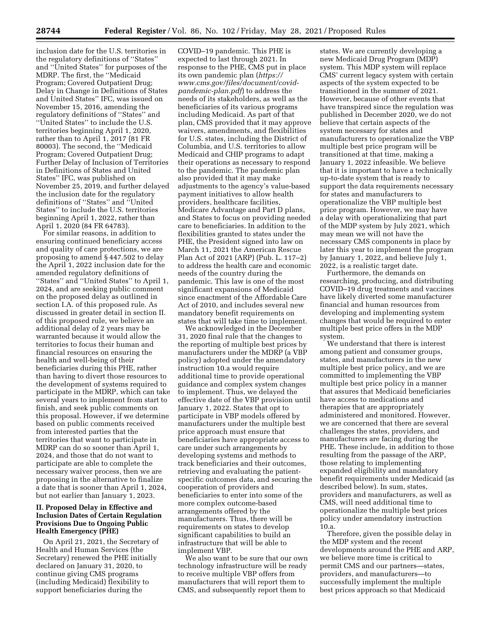inclusion date for the U.S. territories in the regulatory definitions of ''States'' and ''United States'' for purposes of the MDRP. The first, the ''Medicaid Program; Covered Outpatient Drug; Delay in Change in Definitions of States and United States'' IFC, was issued on November 15, 2016, amending the regulatory definitions of ''States'' and ''United States'' to include the U.S. territories beginning April 1, 2020, rather than to April 1, 2017 (81 FR 80003). The second, the ''Medicaid Program; Covered Outpatient Drug; Further Delay of Inclusion of Territories in Definitions of States and United States'' IFC, was published on November 25, 2019, and further delayed the inclusion date for the regulatory definitions of ''States'' and ''United States'' to include the U.S. territories beginning April 1, 2022, rather than April 1, 2020 (84 FR 64783).

For similar reasons, in addition to ensuring continued beneficiary access and quality of care protections, we are proposing to amend § 447.502 to delay the April 1, 2022 inclusion date for the amended regulatory definitions of ''States'' and ''United States'' to April 1, 2024, and are seeking public comment on the proposed delay as outlined in section I.A. of this proposed rule. As discussed in greater detail in section II. of this proposed rule, we believe an additional delay of 2 years may be warranted because it would allow the territories to focus their human and financial resources on ensuring the health and well-being of their beneficiaries during this PHE, rather than having to divert those resources to the development of systems required to participate in the MDRP, which can take several years to implement from start to finish, and seek public comments on this proposal. However, if we determine based on public comments received from interested parties that the territories that want to participate in MDRP can do so sooner than April 1, 2024, and those that do not want to participate are able to complete the necessary waiver process, then we are proposing in the alternative to finalize a date that is sooner than April 1, 2024, but not earlier than January 1, 2023.

## **II. Proposed Delay in Effective and Inclusion Dates of Certain Regulation Provisions Due to Ongoing Public Health Emergency (PHE)**

On April 21, 2021, the Secretary of Health and Human Services (the Secretary) renewed the PHE initially declared on January 31, 2020, to continue giving CMS programs (including Medicaid) flexibility to support beneficiaries during the

COVID–19 pandemic. This PHE is expected to last through 2021. In response to the PHE, CMS put in place its own pandemic plan (*[https://](https://www.cms.gov/files/document/covid-pandemic-plan.pdf) [www.cms.gov/files/document/covid](https://www.cms.gov/files/document/covid-pandemic-plan.pdf)[pandemic-plan.pdf](https://www.cms.gov/files/document/covid-pandemic-plan.pdf)*) to address the needs of its stakeholders, as well as the beneficiaries of its various programs including Medicaid. As part of that plan, CMS provided that it may approve waivers, amendments, and flexibilities for U.S. states, including the District of Columbia, and U.S. territories to allow Medicaid and CHIP programs to adapt their operations as necessary to respond to the pandemic. The pandemic plan also provided that it may make adjustments to the agency's value-based payment initiatives to allow health providers, healthcare facilities, Medicare Advantage and Part D plans, and States to focus on providing needed care to beneficiaries. In addition to the flexibilities granted to states under the PHE, the President signed into law on March 11, 2021 the American Rescue Plan Act of 2021 (ARP) (Pub. L. 117–2) to address the health care and economic needs of the country during the pandemic. This law is one of the most significant expansions of Medicaid since enactment of the Affordable Care Act of 2010, and includes several new mandatory benefit requirements on states that will take time to implement.

We acknowledged in the December 31, 2020 final rule that the changes to the reporting of multiple best prices by manufacturers under the MDRP (a VBP policy) adopted under the amendatory instruction 10.a would require additional time to provide operational guidance and complex system changes to implement. Thus, we delayed the effective date of the VBP provision until January 1, 2022. States that opt to participate in VBP models offered by manufacturers under the multiple best price approach must ensure that beneficiaries have appropriate access to care under such arrangements by developing systems and methods to track beneficiaries and their outcomes, retrieving and evaluating the patientspecific outcomes data, and securing the cooperation of providers and beneficiaries to enter into some of the more complex outcome-based arrangements offered by the manufacturers. Thus, there will be requirements on states to develop significant capabilities to build an infrastructure that will be able to implement VBP.

We also want to be sure that our own technology infrastructure will be ready to receive multiple VBP offers from manufacturers that will report them to CMS, and subsequently report them to

states. We are currently developing a new Medicaid Drug Program (MDP) system. This MDP system will replace CMS' current legacy system with certain aspects of the system expected to be transitioned in the summer of 2021. However, because of other events that have transpired since the regulation was published in December 2020, we do not believe that certain aspects of the system necessary for states and manufacturers to operationalize the VBP multiple best price program will be transitioned at that time, making a January 1, 2022 infeasible. We believe that it is important to have a technically up-to-date system that is ready to support the data requirements necessary for states and manufacturers to operationalize the VBP multiple best price program. However, we may have a delay with operationalizing that part of the MDP system by July 2021, which may mean we will not have the necessary CMS components in place by later this year to implement the program by January 1, 2022, and believe July 1, 2022, is a realistic target date.

Furthermore, the demands on researching, producing, and distributing COVID–19 drug treatments and vaccines have likely diverted some manufacturer financial and human resources from developing and implementing system changes that would be required to enter multiple best price offers in the MDP system.

We understand that there is interest among patient and consumer groups, states, and manufacturers in the new multiple best price policy, and we are committed to implementing the VBP multiple best price policy in a manner that assures that Medicaid beneficiaries have access to medications and therapies that are appropriately administered and monitored. However, we are concerned that there are several challenges the states, providers, and manufacturers are facing during the PHE. These include, in addition to those resulting from the passage of the ARP, those relating to implementing expanded eligibility and mandatory benefit requirements under Medicaid (as described below). In sum, states, providers and manufacturers, as well as CMS, will need additional time to operationalize the multiple best prices policy under amendatory instruction 10.a.

Therefore, given the possible delay in the MDP system and the recent developments around the PHE and ARP, we believe more time is critical to permit CMS and our partners—states, providers, and manufacturers—to successfully implement the multiple best prices approach so that Medicaid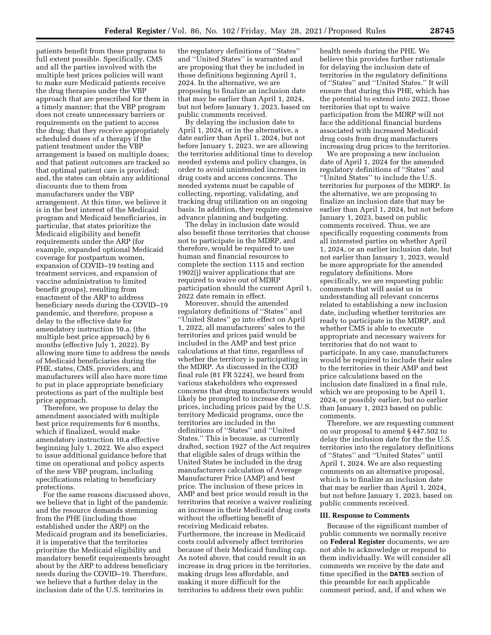patients benefit from these programs to full extent possible. Specifically, CMS and all the parties involved with the multiple best prices policies will want to make sure Medicaid patients receive the drug therapies under the VBP approach that are prescribed for them in a timely manner; that the VBP program does not create unnecessary barriers or requirements on the patient to access the drug; that they receive appropriately scheduled doses of a therapy if the patient treatment under the VBP arrangement is based on multiple doses; and that patient outcomes are tracked so that optimal patient care is provided; and, the states can obtain any additional discounts due to them from manufacturers under the VBP arrangement. At this time, we believe it is in the best interest of the Medicaid program and Medicaid beneficiaries, in particular, that states prioritize the Medicaid eligibility and benefit requirements under the ARP (for example, expanded optional Medicaid coverage for postpartum women, expansion of COVID–19 testing and treatment services, and expansion of vaccine administration to limited benefit groups), resulting from enactment of the ARP to address beneficiary needs during the COVID–19 pandemic, and therefore, propose a delay to the effective date for amendatory instruction 10.a. (the multiple best price approach) by 6 months (effective July 1, 2022). By allowing more time to address the needs of Medicaid beneficiaries during the PHE, states, CMS, providers, and manufacturers will also have more time to put in place appropriate beneficiary protections as part of the multiple best price approach.

Therefore, we propose to delay the amendment associated with multiple best price requirements for 6 months, which if finalized, would make amendatory instruction 10.a effective beginning July 1, 2022. We also expect to issue additional guidance before that time on operational and policy aspects of the new VBP program, including specifications relating to beneficiary protections.

For the same reasons discussed above, we believe that in light of the pandemic and the resource demands stemming from the PHE (including those established under the ARP) on the Medicaid program and its beneficiaries, it is imperative that the territories prioritize the Medicaid eligibility and mandatory benefit requirements brought about by the ARP to address beneficiary needs during the COVID–19. Therefore, we believe that a further delay in the inclusion date of the U.S. territories in

the regulatory definitions of ''States'' and ''United States'' is warranted and are proposing that they be included in those definitions beginning April 1, 2024. In the alternative, we are proposing to finalize an inclusion date that may be earlier than April 1, 2024, but not before January 1, 2023, based on public comments received.

By delaying the inclusion date to April 1, 2024, or in the alternative, a date earlier than April 1, 2024, but not before January 1, 2023, we are allowing the territories additional time to develop needed systems and policy changes, in order to avoid unintended increases in drug costs and access concerns. The needed systems must be capable of collecting, reporting, validating, and tracking drug utilization on an ongoing basis. In addition, they require extensive advance planning and budgeting.

The delay in inclusion date would also benefit those territories that choose not to participate in the MDRP, and therefore, would be required to use human and financial resources to complete the section 1115 and section 1902(j) waiver applications that are required to waive out of MDRP participation should the current April 1, 2022 date remain in effect.

Moreover, should the amended regulatory definitions of ''States'' and ''United States'' go into effect on April 1, 2022, all manufacturers' sales to the territories and prices paid would be included in the AMP and best price calculations at that time, regardless of whether the territory is participating in the MDRP. As discussed in the COD final rule (81 FR 5224), we heard from various stakeholders who expressed concerns that drug manufacturers would likely be prompted to increase drug prices, including prices paid by the U.S. territory Medicaid programs, once the territories are included in the definitions of ''States'' and ''United States.'' This is because, as currently drafted, section 1927 of the Act requires that eligible sales of drugs within the United States be included in the drug manufacturers calculation of Average Manufacturer Price (AMP) and best price. The inclusion of these prices in AMP and best price would result in the territories that receive a waiver realizing an increase in their Medicaid drug costs without the offsetting benefit of receiving Medicaid rebates. Furthermore, the increase in Medicaid costs could adversely affect territories because of their Medicaid funding cap. As noted above, that could result in an increase in drug prices in the territories, making drugs less affordable, and making it more difficult for the territories to address their own public

health needs during the PHE. We believe this provides further rationale for delaying the inclusion date of territories in the regulatory definitions of ''States'' and ''United States.'' It will ensure that during this PHE, which has the potential to extend into 2022, those territories that opt to waive participation from the MDRP will not face the additional financial burdens associated with increased Medicaid drug costs from drug manufacturers increasing drug prices to the territories.

We are proposing a new inclusion date of April 1, 2024 for the amended regulatory definitions of ''States'' and ''United States'' to include the U.S. territories for purposes of the MDRP. In the alternative, we are proposing to finalize an inclusion date that may be earlier than April 1, 2024, but not before January 1, 2023, based on public comments received. Thus, we are specifically requesting comments from all interested parties on whether April 1, 2024, or an earlier inclusion date, but not earlier than January 1, 2023, would be more appropriate for the amended regulatory definitions. More specifically, we are requesting public comments that will assist us in understanding all relevant concerns related to establishing a new inclusion date, including whether territories are ready to participate in the MDRP, and whether CMS is able to execute appropriate and necessary waivers for territories that do not want to participate. In any case, manufacturers would be required to include their sales to the territories in their AMP and best price calculations based on the inclusion date finalized in a final rule, which we are proposing to be April 1, 2024, or possibly earlier, but no earlier than January 1, 2023 based on public comments.

Therefore, we are requesting comment on our proposal to amend § 447.502 to delay the inclusion date for the the U.S. territories into the regulatory definitions of ''States'' and ''United States'' until April 1, 2024. We are also requesting comments on an alternative proposal, which is to finalize an inclusion date that may be earlier than April 1, 2024, but not before January 1, 2023, based on public comments received.

#### **III. Response to Comments**

Because of the significant number of public comments we normally receive on **Federal Register** documents, we are not able to acknowledge or respond to them individually. We will consider all comments we receive by the date and time specified in the **DATES** section of this preamble for each applicable comment period, and, if and when we